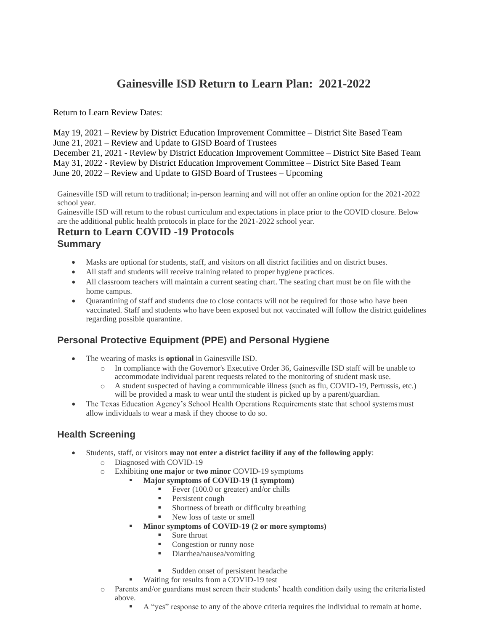# **Gainesville ISD Return to Learn Plan: 2021-2022**

Return to Learn Review Dates:

May 19, 2021 – Review by District Education Improvement Committee – District Site Based Team June 21, 2021 – Review and Update to GISD Board of Trustees

December 21, 2021 - Review by District Education Improvement Committee – District Site Based Team May 31, 2022 - Review by District Education Improvement Committee – District Site Based Team June 20, 2022 – Review and Update to GISD Board of Trustees – Upcoming

Gainesville ISD will return to traditional; in-person learning and will not offer an online option for the 2021-2022 school year.

Gainesville ISD will return to the robust curriculum and expectations in place prior to the COVID closure. Below are the additional public health protocols in place for the 2021-2022 school year.

# **Return to Learn COVID -19 Protocols**

#### **Summary**

- Masks are optional for students, staff, and visitors on all district facilities and on district buses.
- All staff and students will receive training related to proper hygiene practices.
- All classroom teachers will maintain a current seating chart. The seating chart must be on file with the home campus.
- Ouarantining of staff and students due to close contacts will not be required for those who have been vaccinated. Staff and students who have been exposed but not vaccinated will follow the district guidelines regarding possible quarantine.

# **Personal Protective Equipment (PPE) and Personal Hygiene**

- The wearing of masks is **optional** in Gainesville ISD.
	- o In compliance with the Governor's Executive Order 36, Gainesville ISD staff will be unable to accommodate individual parent requests related to the monitoring of student mask use.
	- o A student suspected of having a communicable illness (such as flu, COVID-19, Pertussis, etc.) will be provided a mask to wear until the student is picked up by a parent/guardian.
- The Texas Education Agency's School Health Operations Requirements state that school systems must allow individuals to wear a mask if they choose to do so.

### **Health Screening**

- Students, staff, or visitors **may not enter a district facility if any of the following apply**:
	- o Diagnosed with COVID-19
	- o Exhibiting **one major** or **two minor** COVID-19 symptoms
		- **Major symptoms of COVID-19 (1 symptom)**
			- Fever (100.0 or greater) and/or chills
			- Persistent cough
			- Shortness of breath or difficulty breathing
			- New loss of taste or smell
		- **Minor symptoms of COVID-19 (2 or more symptoms)**
			- Sore throat
			- Congestion or runny nose
			- Diarrhea/nausea/vomiting
			- Sudden onset of persistent headache
			- Waiting for results from a COVID-19 test
	- o Parents and/or guardians must screen their students' health condition daily using the criteria listed above.
		- A "yes" response to any of the above criteria requires the individual to remain at home.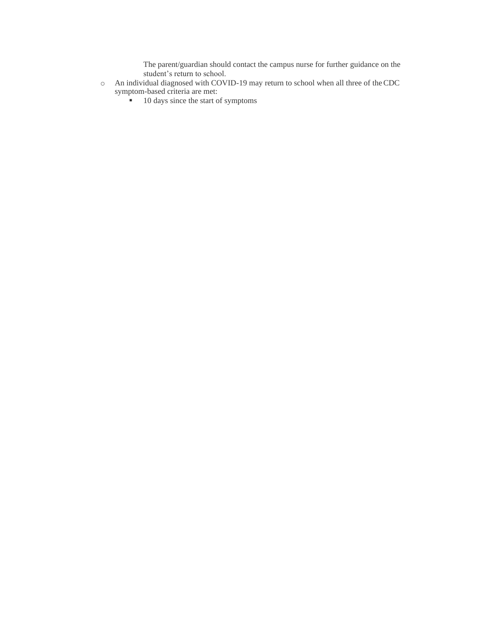The parent/guardian should contact the campus nurse for further guidance on the student's return to school.

- o An individual diagnosed with COVID-19 may return to school when all three of theCDC symptom-based criteria are met:
	- 10 days since the start of symptoms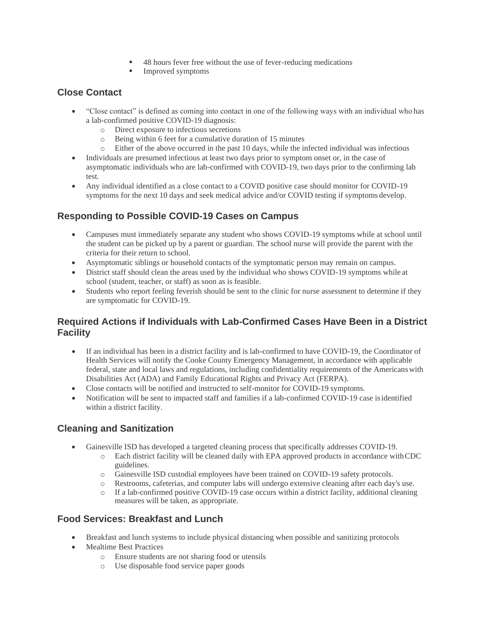- 48 hours fever free without the use of fever-reducing medications
- Improved symptoms

### **Close Contact**

- "Close contact" is defined as coming into contact in one of the following ways with an individual who has a lab-confirmed positive COVID-19 diagnosis:
	- o Direct exposure to infectious secretions
	- o Being within 6 feet for a cumulative duration of 15 minutes
	- o Either of the above occurred in the past 10 days, while the infected individual was infectious
- Individuals are presumed infectious at least two days prior to symptom onset or, in the case of asymptomatic individuals who are lab-confirmed with COVID-19, two days prior to the confirming lab test.
- Any individual identified as a close contact to a COVID positive case should monitor for COVID-19 symptoms for the next 10 days and seek medical advice and/or COVID testing if symptoms develop.

# **Responding to Possible COVID-19 Cases on Campus**

- Campuses must immediately separate any student who shows COVID-19 symptoms while at school until the student can be picked up by a parent or guardian. The school nurse will provide the parent with the criteria for their return to school.
- Asymptomatic siblings or household contacts of the symptomatic person may remain on campus.
- District staff should clean the areas used by the individual who shows COVID-19 symptoms while at school (student, teacher, or staff) as soon as is feasible.
- Students who report feeling feverish should be sent to the clinic for nurse assessment to determine if they are symptomatic for COVID-19.

### **Required Actions if Individuals with Lab-Confirmed Cases Have Been in a District Facility**

- If an individual has been in a district facility and is lab-confirmed to have COVID-19, the Coordinator of Health Services will notify the Cooke County Emergency Management, in accordance with applicable federal, state and local laws and regulations, including confidentiality requirements of the Americanswith Disabilities Act (ADA) and Family Educational Rights and Privacy Act (FERPA).
- Close contacts will be notified and instructed to self-monitor for COVID-19 symptoms.
- Notification will be sent to impacted staff and families if a lab-confirmed COVID-19 case isidentified within a district facility.

# **Cleaning and Sanitization**

- Gainesville ISD has developed a targeted cleaning process that specifically addresses COVID-19.
	- o Each district facility will be cleaned daily with EPA approved products in accordance withCDC guidelines.
	- o Gainesville ISD custodial employees have been trained on COVID-19 safety protocols.
	- Restrooms, cafeterias, and computer labs will undergo extensive cleaning after each day's use.
	- $\circ$  If a lab-confirmed positive COVID-19 case occurs within a district facility, additional cleaning measures will be taken, as appropriate.

# **Food Services: Breakfast and Lunch**

- Breakfast and lunch systems to include physical distancing when possible and sanitizing protocols
- Mealtime Best Practices
	- o Ensure students are not sharing food or utensils
	- o Use disposable food service paper goods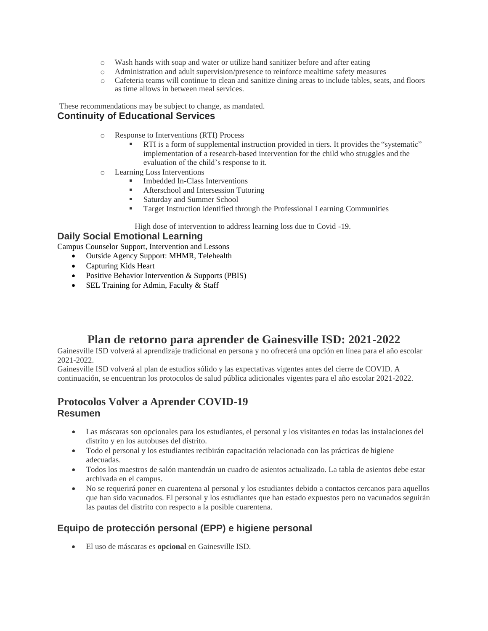- o Wash hands with soap and water or utilize hand sanitizer before and after eating
- o Administration and adult supervision/presence to reinforce mealtime safety measures
- o Cafeteria teams will continue to clean and sanitize dining areas to include tables, seats, and floors as time allows in between meal services.

These recommendations may be subject to change, as mandated.

#### **Continuity of Educational Services**

- o Response to Interventions (RTI) Process
	- RTI is a form of supplemental instruction provided in tiers. It provides the "systematic" implementation of a research-based intervention for the child who struggles and the evaluation of the child's response to it.
- o Learning Loss Interventions
	- Imbedded In-Class Interventions
	- Afterschool and Intersession Tutoring<br>■ Saturday and Summer School
	- Saturday and Summer School
	- **Target Instruction identified through the Professional Learning Communities**

High dose of intervention to address learning loss due to Covid -19.

#### **Daily Social Emotional Learning**

Campus Counselor Support, Intervention and Lessons

- Outside Agency Support: MHMR, Telehealth
- Capturing Kids Heart
- Positive Behavior Intervention & Supports (PBIS)
- SEL Training for Admin, Faculty & Staff

# **Plan de retorno para aprender de Gainesville ISD: 2021-2022**

Gainesville ISD volverá al aprendizaje tradicional en persona y no ofrecerá una opción en línea para el año escolar 2021-2022.

Gainesville ISD volverá al plan de estudios sólido y las expectativas vigentes antes del cierre de COVID. A continuación, se encuentran los protocolos de salud pública adicionales vigentes para el año escolar 2021-2022.

### **Protocolos Volver a Aprender COVID-19 Resumen**

- Las máscaras son opcionales para los estudiantes, el personal y los visitantes en todas las instalaciones del distrito y en los autobuses del distrito.
- Todo el personal y los estudiantes recibirán capacitación relacionada con las prácticas de higiene adecuadas.
- Todos los maestros de salón mantendrán un cuadro de asientos actualizado. La tabla de asientos debe estar archivada en el campus.
- No se requerirá poner en cuarentena al personal y los estudiantes debido a contactos cercanos para aquellos que han sido vacunados. El personal y los estudiantes que han estado expuestos pero no vacunados seguirán las pautas del distrito con respecto a la posible cuarentena.

### **Equipo de protección personal (EPP) e higiene personal**

• El uso de máscaras es **opcional** en Gainesville ISD.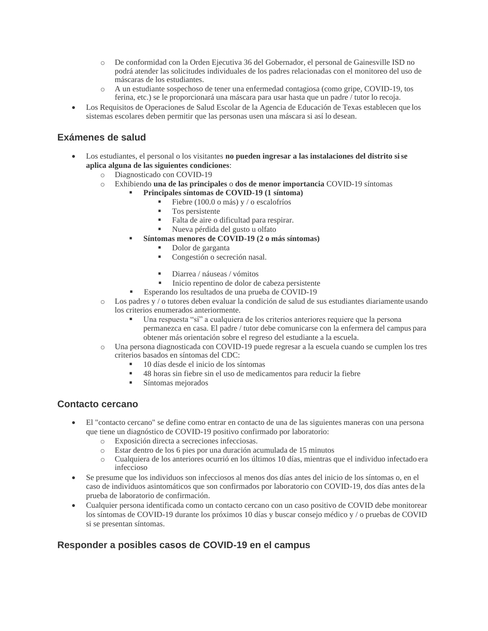- o De conformidad con la Orden Ejecutiva 36 del Gobernador, el personal de Gainesville ISD no podrá atender las solicitudes individuales de los padres relacionadas con el monitoreo del uso de máscaras de los estudiantes.
- o A un estudiante sospechoso de tener una enfermedad contagiosa (como gripe, COVID-19, tos ferina, etc.) se le proporcionará una máscara para usar hasta que un padre / tutor lo recoja.
- Los Requisitos de Operaciones de Salud Escolar de la Agencia de Educación de Texas establecen que los sistemas escolares deben permitir que las personas usen una máscara si así lo desean.

### **Exámenes de salud**

- Los estudiantes, el personal o los visitantes **no pueden ingresar a las instalaciones del distrito sise aplica alguna de las siguientes condiciones**:
	- o Diagnosticado con COVID-19
	- o Exhibiendo **una de las principales** o **dos de menor importancia** COVID-19 síntomas
		- **Principales síntomas de COVID-19 (1 síntoma)**
			- $\blacksquare$  Fiebre (100.0 o más) y / o escalofríos
			- Tos persistente
			- Falta de aire o dificultad para respirar.
			- Nueva pérdida del gusto u olfato
		- **Síntomas menores de COVID-19 (2 o más síntomas)**
			- Dolor de garganta
			- Congestión o secreción nasal.
			- Diarrea / náuseas / vómitos
			- Inicio repentino de dolor de cabeza persistente
			- Esperando los resultados de una prueba de COVID-19
	- o Los padres y / o tutores deben evaluar la condición de salud de sus estudiantes diariamente usando los criterios enumerados anteriormente.
		- Una respuesta "sí" a cualquiera de los criterios anteriores requiere que la persona permanezca en casa. El padre / tutor debe comunicarse con la enfermera del campus para obtener más orientación sobre el regreso del estudiante a la escuela.
	- o Una persona diagnosticada con COVID-19 puede regresar a la escuela cuando se cumplen los tres criterios basados en síntomas del CDC:
		- 10 días desde el inicio de los síntomas
		- 48 horas sin fiebre sin el uso de medicamentos para reducir la fiebre
		- Síntomas mejorados

#### **Contacto cercano**

- El "contacto cercano" se define como entrar en contacto de una de las siguientes maneras con una persona que tiene un diagnóstico de COVID-19 positivo confirmado por laboratorio:
	- o Exposición directa a secreciones infecciosas.
	- o Estar dentro de los 6 pies por una duración acumulada de 15 minutos
	- o Cualquiera de los anteriores ocurrió en los últimos 10 días, mientras que el individuo infectado era infeccioso
- Se presume que los individuos son infecciosos al menos dos días antes del inicio de los síntomas o, en el caso de individuos asintomáticos que son confirmados por laboratorio con COVID-19, dos días antes de la prueba de laboratorio de confirmación.
- Cualquier persona identificada como un contacto cercano con un caso positivo de COVID debe monitorear los síntomas de COVID-19 durante los próximos 10 días y buscar consejo médico y / o pruebas de COVID si se presentan síntomas.

### **Responder a posibles casos de COVID-19 en el campus**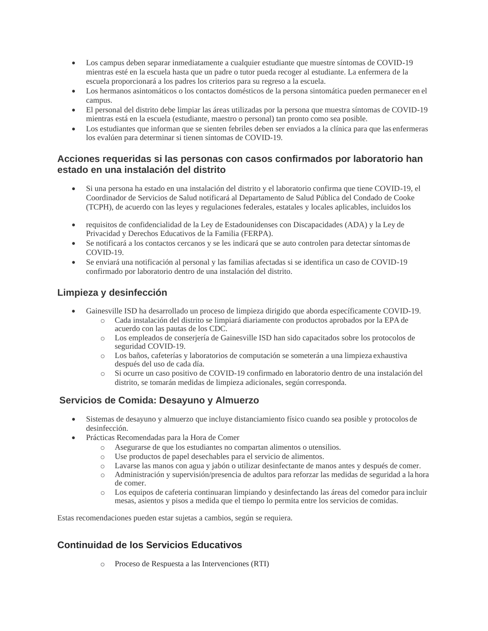- Los campus deben separar inmediatamente a cualquier estudiante que muestre síntomas de COVID-19 mientras esté en la escuela hasta que un padre o tutor pueda recoger al estudiante. La enfermera de la escuela proporcionará a los padres los criterios para su regreso a la escuela.
- Los hermanos asintomáticos o los contactos domésticos de la persona sintomática pueden permanecer en el campus.
- El personal del distrito debe limpiar las áreas utilizadas por la persona que muestra síntomas de COVID-19 mientras está en la escuela (estudiante, maestro o personal) tan pronto como sea posible.
- Los estudiantes que informan que se sienten febriles deben ser enviados a la clínica para que las enfermeras los evalúen para determinar si tienen síntomas de COVID-19.

#### **Acciones requeridas si las personas con casos confirmados por laboratorio han estado en una instalación del distrito**

- Si una persona ha estado en una instalación del distrito y el laboratorio confirma que tiene COVID-19, el Coordinador de Servicios de Salud notificará al Departamento de Salud Pública del Condado de Cooke (TCPH), de acuerdo con las leyes y regulaciones federales, estatales y locales aplicables, incluidoslos
- requisitos de confidencialidad de la Ley de Estadounidenses con Discapacidades (ADA) y la Ley de Privacidad y Derechos Educativos de la Familia (FERPA).
- Se notificará a los contactos cercanos y se les indicará que se auto controlen para detectar síntomas de COVID-19.
- Se enviará una notificación al personal y las familias afectadas si se identifica un caso de COVID-19 confirmado por laboratorio dentro de una instalación del distrito.

### **Limpieza y desinfección**

- Gainesville ISD ha desarrollado un proceso de limpieza dirigido que aborda específicamente COVID-19.
	- o Cada instalación del distrito se limpiará diariamente con productos aprobados por la EPA de acuerdo con las pautas de los CDC.
	- o Los empleados de conserjería de Gainesville ISD han sido capacitados sobre los protocolos de seguridad COVID-19.
	- o Los baños, cafeterías y laboratorios de computación se someterán a una limpieza exhaustiva después del uso de cada día.
	- o Si ocurre un caso positivo de COVID-19 confirmado en laboratorio dentro de una instalación del distrito, se tomarán medidas de limpieza adicionales, según corresponda.

# **Servicios de Comida: Desayuno y Almuerzo**

- Sistemas de desayuno y almuerzo que incluye distanciamiento físico cuando sea posible y protocolos de desinfección.
- Prácticas Recomendadas para la Hora de Comer
	- o Asegurarse de que los estudiantes no compartan alimentos o utensilios.
	-
	- o Use productos de papel desechables para el servicio de alimentos. Lavarse las manos con agua y jabón o utilizar desinfectante de manos antes y después de comer.
	- o Administración y supervisión/presencia de adultos para reforzar las medidas de seguridad a la hora de comer.
	- o Los equipos de cafeteria continuaran limpiando y desinfectando las áreas del comedor para incluir mesas, asientos y pisos a medida que el tiempo lo permita entre los servicios de comidas.

Estas recomendaciones pueden estar sujetas a cambios, según se requiera.

# **Continuidad de los Servicios Educativos**

o Proceso de Respuesta a las Intervenciones (RTI)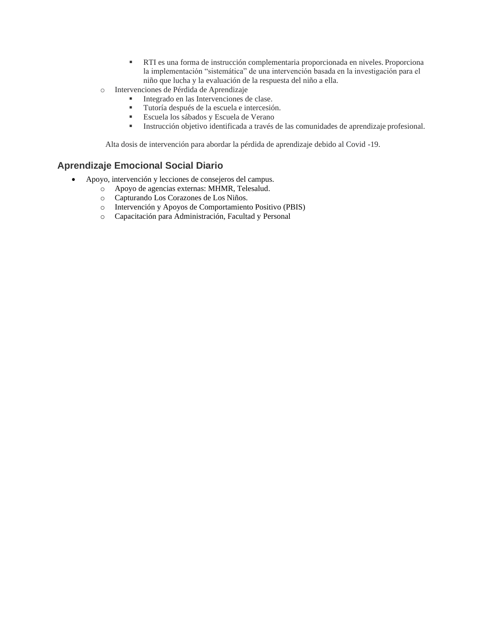- RTI es una forma de instrucción complementaria proporcionada en niveles. Proporciona la implementación "sistemática" de una intervención basada en la investigación para el niño que lucha y la evaluación de la respuesta del niño a ella.
- o Intervenciones de Pérdida de Aprendizaje
	- Integrado en las Intervenciones de clase.
	- Tutoría después de la escuela e intercesión.
	- Escuela los sábados y Escuela de Verano
	- Instrucción objetivo identificada a través de las comunidades de aprendizaje profesional.

Alta dosis de intervención para abordar la pérdida de aprendizaje debido al Covid -19.

#### **Aprendizaje Emocional Social Diario**

- Apoyo, intervención y lecciones de consejeros del campus.
	- o Apoyo de agencias externas: MHMR, Telesalud.
	- o Capturando Los Corazones de Los Niños.
	- o Intervención y Apoyos de Comportamiento Positivo (PBIS)
	- o Capacitación para Administración, Facultad y Personal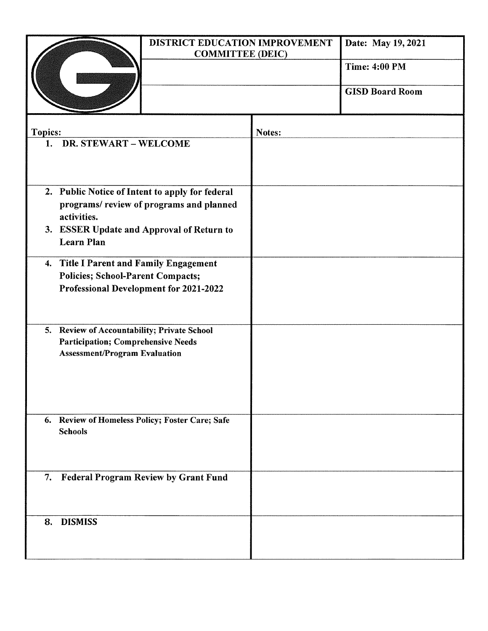|                                                                                                                                  | DISTRICT EDUCATION IMPROVEMENT<br><b>COMMITTEE (DEIC)</b> |        | Date: May 19, 2021     |
|----------------------------------------------------------------------------------------------------------------------------------|-----------------------------------------------------------|--------|------------------------|
|                                                                                                                                  |                                                           |        | <b>Time: 4:00 PM</b>   |
|                                                                                                                                  |                                                           |        | <b>GISD Board Room</b> |
| <b>Topics:</b>                                                                                                                   |                                                           | Notes: |                        |
| 1. DR. STEWART - WELCOME                                                                                                         |                                                           |        |                        |
| 2. Public Notice of Intent to apply for federal<br>programs/review of programs and planned<br>activities.                        |                                                           |        |                        |
| 3. ESSER Update and Approval of Return to<br><b>Learn Plan</b>                                                                   |                                                           |        |                        |
| 4. Title I Parent and Family Engagement<br><b>Policies; School-Parent Compacts;</b><br>Professional Development for 2021-2022    |                                                           |        |                        |
| 5. Review of Accountability; Private School<br><b>Participation; Comprehensive Needs</b><br><b>Assessment/Program Evaluation</b> |                                                           |        |                        |
| 6. Review of Homeless Policy; Foster Care; Safe<br><b>Schools</b>                                                                |                                                           |        |                        |
| 7.                                                                                                                               | <b>Federal Program Review by Grant Fund</b>               |        |                        |
| <b>DISMISS</b><br>8.                                                                                                             |                                                           |        |                        |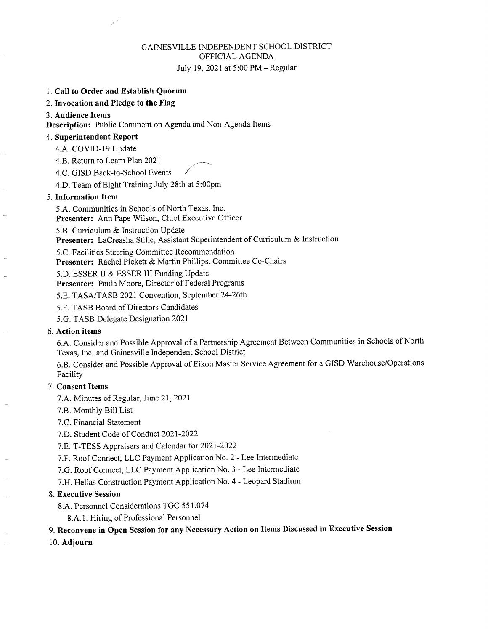#### GAINESVILLE INDEPENDENT SCHOOL DISTRICT OFFICIAL AGENDA July 19, 2021 at 5:00 PM - Regular

#### 1. Call to Order and Establish Quorum

2. Invocation and Pledge to the Flag

#### 3. Audience Items

Description: Public Comment on Agenda and Non-Agenda Items

#### 4. Superintendent Report

4.A. COVID-19 Update

4.B. Return to Learn Plan 2021

4.C. GISD Back-to-School Events

4.D. Team of Eight Training July 28th at 5:00pm

#### 5. Information Item

5.A. Communities in Schools of North Texas, Inc.

Presenter: Ann Pape Wilson, Chief Executive Officer

5.B. Curriculum & Instruction Update

Presenter: LaCreasha Stille, Assistant Superintendent of Curriculum & Instruction

5.C. Facilities Steering Committee Recommendation

Presenter: Rachel Pickett & Martin Phillips, Committee Co-Chairs

5.D. ESSER II & ESSER III Funding Update

Presenter: Paula Moore, Director of Federal Programs

5.E. TASA/TASB 2021 Convention, September 24-26th

5.F. TASB Board of Directors Candidates

5.G. TASB Delegate Designation 2021

#### 6. Action items

6.A. Consider and Possible Approval of a Partnership Agreement Between Communities in Schools of North Texas, Inc. and Gainesville Independent School District

6.B. Consider and Possible Approval of Eikon Master Service Agreement for a GISD Warehouse/Operations Facility

#### 7. Consent Items

7.A. Minutes of Regular, June 21, 2021

7.B. Monthly Bill List

7.C. Financial Statement

7.D. Student Code of Conduct 2021-2022

7.E. T-TESS Appraisers and Calendar for 2021-2022

7.F. Roof Connect, LLC Payment Application No. 2 - Lee Intermediate

7.G. Roof Connect, LLC Payment Application No. 3 - Lee Intermediate

7.H. Hellas Construction Payment Application No. 4 - Leopard Stadium

#### 8. Executive Session

8.A. Personnel Considerations TGC 551.074

8.A.1. Hiring of Professional Personnel

#### 9. Reconvene in Open Session for any Necessary Action on Items Discussed in Executive Session

10. Adjourn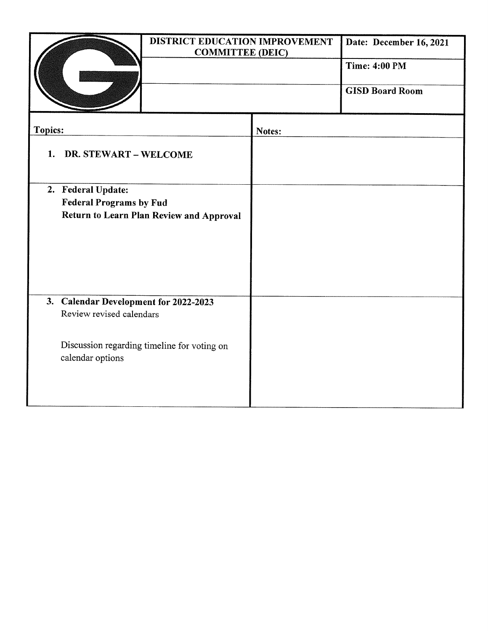|                             |                                                                            | DISTRICT EDUCATION IMPROVEMENT<br><b>COMMITTEE (DEIC)</b> | Date: December 16, 2021<br><b>Time: 4:00 PM</b> |  |
|-----------------------------|----------------------------------------------------------------------------|-----------------------------------------------------------|-------------------------------------------------|--|
|                             |                                                                            |                                                           | <b>GISD Board Room</b>                          |  |
| <b>Topics:</b>              |                                                                            | Notes:                                                    |                                                 |  |
| DR. STEWART - WELCOME<br>1. |                                                                            |                                                           |                                                 |  |
| 2. Federal Update:          |                                                                            |                                                           |                                                 |  |
|                             | <b>Federal Programs by Fud</b><br>Return to Learn Plan Review and Approval |                                                           |                                                 |  |
|                             |                                                                            |                                                           |                                                 |  |
|                             |                                                                            |                                                           |                                                 |  |
|                             |                                                                            |                                                           |                                                 |  |
|                             | 3. Calendar Development for 2022-2023                                      |                                                           |                                                 |  |
| Review revised calendars    |                                                                            |                                                           |                                                 |  |
| calendar options            | Discussion regarding timeline for voting on                                |                                                           |                                                 |  |
|                             |                                                                            |                                                           |                                                 |  |
|                             |                                                                            |                                                           |                                                 |  |